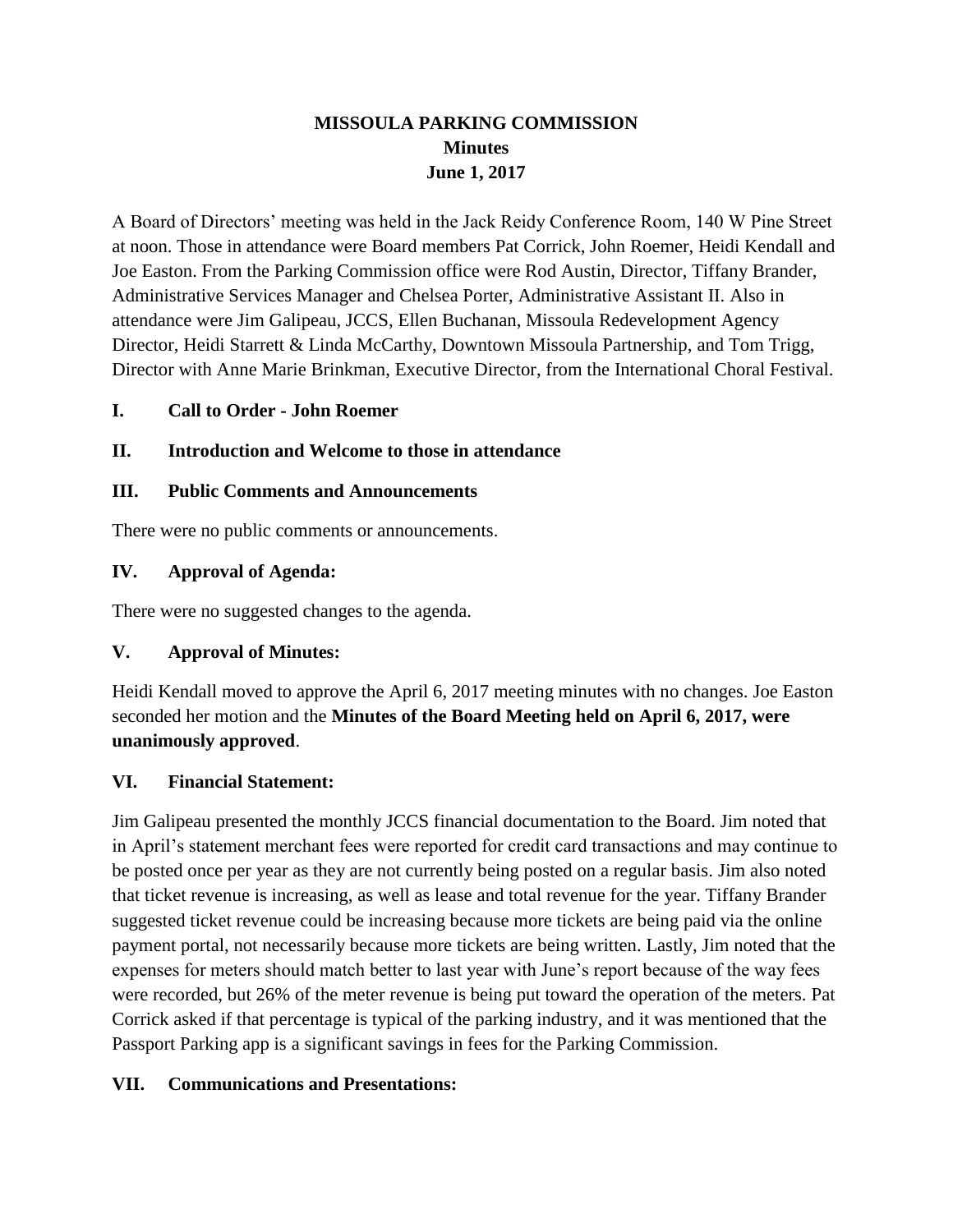## **MISSOULA PARKING COMMISSION Minutes June 1, 2017**

A Board of Directors' meeting was held in the Jack Reidy Conference Room, 140 W Pine Street at noon. Those in attendance were Board members Pat Corrick, John Roemer, Heidi Kendall and Joe Easton. From the Parking Commission office were Rod Austin, Director, Tiffany Brander, Administrative Services Manager and Chelsea Porter, Administrative Assistant II. Also in attendance were Jim Galipeau, JCCS, Ellen Buchanan, Missoula Redevelopment Agency Director, Heidi Starrett & Linda McCarthy, Downtown Missoula Partnership, and Tom Trigg, Director with Anne Marie Brinkman, Executive Director, from the International Choral Festival.

## **I. Call to Order - John Roemer**

## **II. Introduction and Welcome to those in attendance**

### **III. Public Comments and Announcements**

There were no public comments or announcements.

### **IV. Approval of Agenda:**

There were no suggested changes to the agenda.

### **V. Approval of Minutes:**

Heidi Kendall moved to approve the April 6, 2017 meeting minutes with no changes. Joe Easton seconded her motion and the **Minutes of the Board Meeting held on April 6, 2017, were unanimously approved**.

### **VI. Financial Statement:**

Jim Galipeau presented the monthly JCCS financial documentation to the Board. Jim noted that in April's statement merchant fees were reported for credit card transactions and may continue to be posted once per year as they are not currently being posted on a regular basis. Jim also noted that ticket revenue is increasing, as well as lease and total revenue for the year. Tiffany Brander suggested ticket revenue could be increasing because more tickets are being paid via the online payment portal, not necessarily because more tickets are being written. Lastly, Jim noted that the expenses for meters should match better to last year with June's report because of the way fees were recorded, but 26% of the meter revenue is being put toward the operation of the meters. Pat Corrick asked if that percentage is typical of the parking industry, and it was mentioned that the Passport Parking app is a significant savings in fees for the Parking Commission.

## **VII. Communications and Presentations:**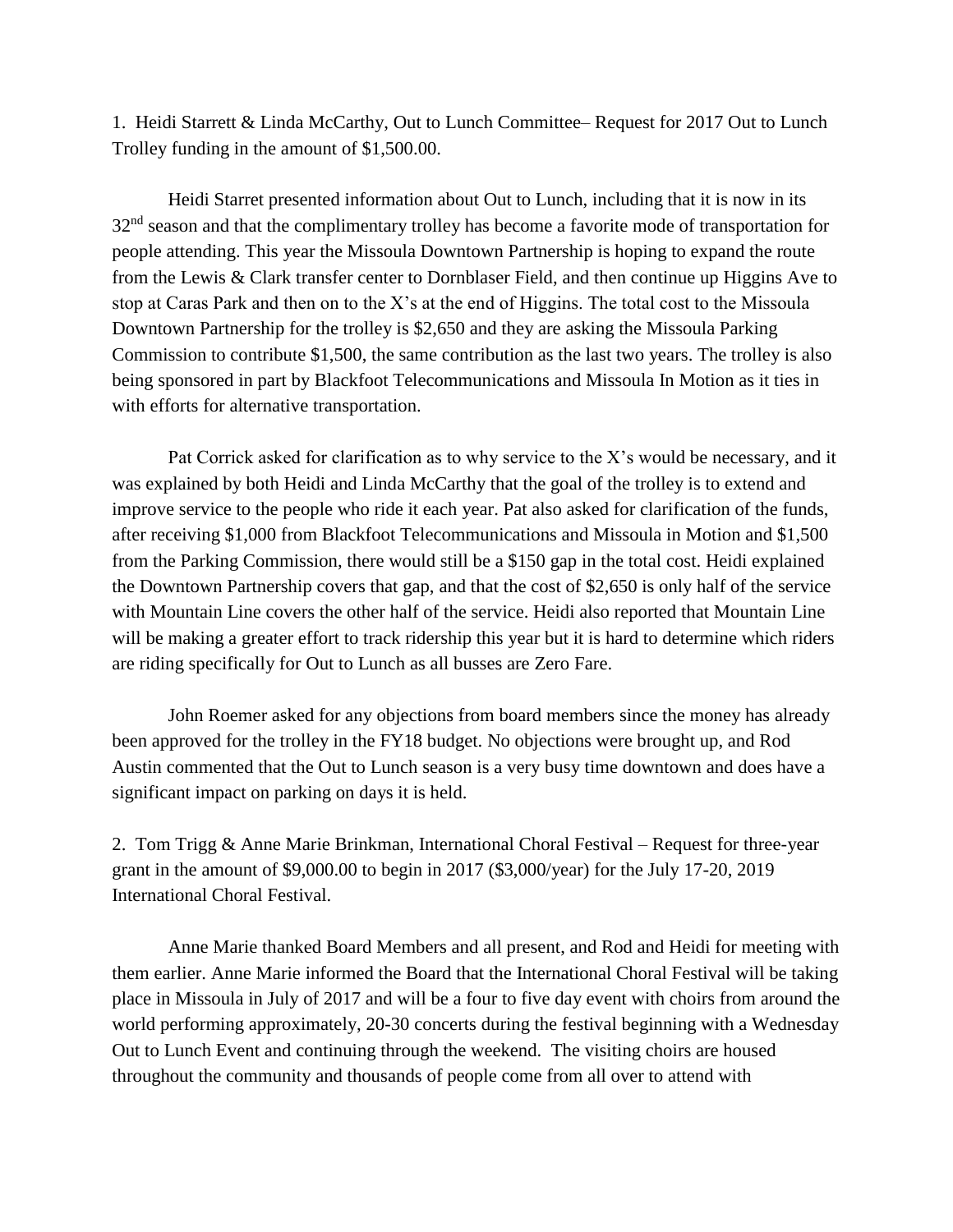1. Heidi Starrett & Linda McCarthy, Out to Lunch Committee– Request for 2017 Out to Lunch Trolley funding in the amount of \$1,500.00.

Heidi Starret presented information about Out to Lunch, including that it is now in its 32<sup>nd</sup> season and that the complimentary trolley has become a favorite mode of transportation for people attending. This year the Missoula Downtown Partnership is hoping to expand the route from the Lewis & Clark transfer center to Dornblaser Field, and then continue up Higgins Ave to stop at Caras Park and then on to the X's at the end of Higgins. The total cost to the Missoula Downtown Partnership for the trolley is \$2,650 and they are asking the Missoula Parking Commission to contribute \$1,500, the same contribution as the last two years. The trolley is also being sponsored in part by Blackfoot Telecommunications and Missoula In Motion as it ties in with efforts for alternative transportation.

Pat Corrick asked for clarification as to why service to the X's would be necessary, and it was explained by both Heidi and Linda McCarthy that the goal of the trolley is to extend and improve service to the people who ride it each year. Pat also asked for clarification of the funds, after receiving \$1,000 from Blackfoot Telecommunications and Missoula in Motion and \$1,500 from the Parking Commission, there would still be a \$150 gap in the total cost. Heidi explained the Downtown Partnership covers that gap, and that the cost of \$2,650 is only half of the service with Mountain Line covers the other half of the service. Heidi also reported that Mountain Line will be making a greater effort to track ridership this year but it is hard to determine which riders are riding specifically for Out to Lunch as all busses are Zero Fare.

John Roemer asked for any objections from board members since the money has already been approved for the trolley in the FY18 budget. No objections were brought up, and Rod Austin commented that the Out to Lunch season is a very busy time downtown and does have a significant impact on parking on days it is held.

2. Tom Trigg & Anne Marie Brinkman, International Choral Festival – Request for three-year grant in the amount of \$9,000.00 to begin in 2017 (\$3,000/year) for the July 17-20, 2019 International Choral Festival.

Anne Marie thanked Board Members and all present, and Rod and Heidi for meeting with them earlier. Anne Marie informed the Board that the International Choral Festival will be taking place in Missoula in July of 2017 and will be a four to five day event with choirs from around the world performing approximately, 20-30 concerts during the festival beginning with a Wednesday Out to Lunch Event and continuing through the weekend. The visiting choirs are housed throughout the community and thousands of people come from all over to attend with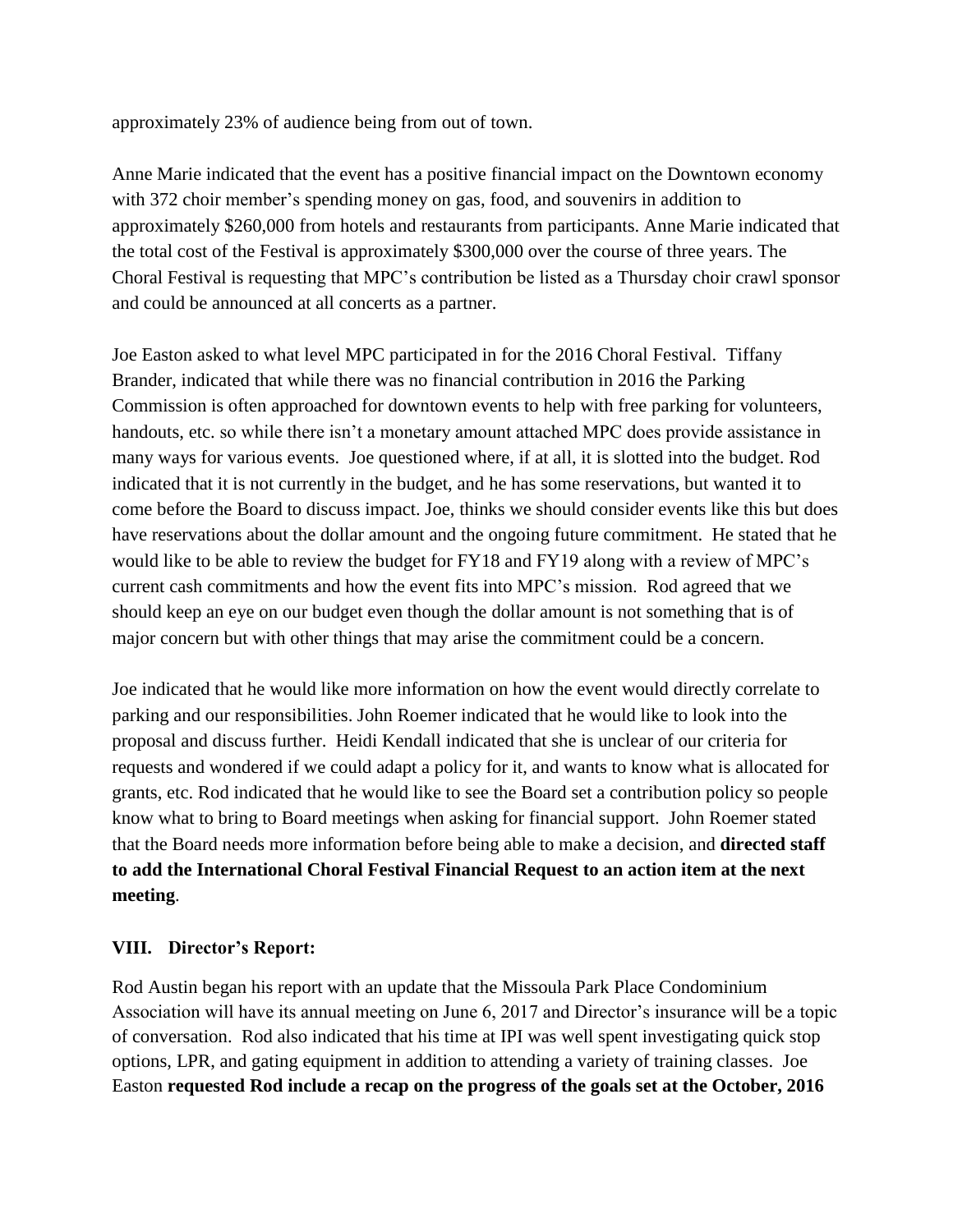approximately 23% of audience being from out of town.

Anne Marie indicated that the event has a positive financial impact on the Downtown economy with 372 choir member's spending money on gas, food, and souvenirs in addition to approximately \$260,000 from hotels and restaurants from participants. Anne Marie indicated that the total cost of the Festival is approximately \$300,000 over the course of three years. The Choral Festival is requesting that MPC's contribution be listed as a Thursday choir crawl sponsor and could be announced at all concerts as a partner.

Joe Easton asked to what level MPC participated in for the 2016 Choral Festival. Tiffany Brander, indicated that while there was no financial contribution in 2016 the Parking Commission is often approached for downtown events to help with free parking for volunteers, handouts, etc. so while there isn't a monetary amount attached MPC does provide assistance in many ways for various events. Joe questioned where, if at all, it is slotted into the budget. Rod indicated that it is not currently in the budget, and he has some reservations, but wanted it to come before the Board to discuss impact. Joe, thinks we should consider events like this but does have reservations about the dollar amount and the ongoing future commitment. He stated that he would like to be able to review the budget for FY18 and FY19 along with a review of MPC's current cash commitments and how the event fits into MPC's mission. Rod agreed that we should keep an eye on our budget even though the dollar amount is not something that is of major concern but with other things that may arise the commitment could be a concern.

Joe indicated that he would like more information on how the event would directly correlate to parking and our responsibilities. John Roemer indicated that he would like to look into the proposal and discuss further. Heidi Kendall indicated that she is unclear of our criteria for requests and wondered if we could adapt a policy for it, and wants to know what is allocated for grants, etc. Rod indicated that he would like to see the Board set a contribution policy so people know what to bring to Board meetings when asking for financial support. John Roemer stated that the Board needs more information before being able to make a decision, and **directed staff to add the International Choral Festival Financial Request to an action item at the next meeting**.

### **VIII. Director's Report:**

Rod Austin began his report with an update that the Missoula Park Place Condominium Association will have its annual meeting on June 6, 2017 and Director's insurance will be a topic of conversation. Rod also indicated that his time at IPI was well spent investigating quick stop options, LPR, and gating equipment in addition to attending a variety of training classes. Joe Easton **requested Rod include a recap on the progress of the goals set at the October, 2016**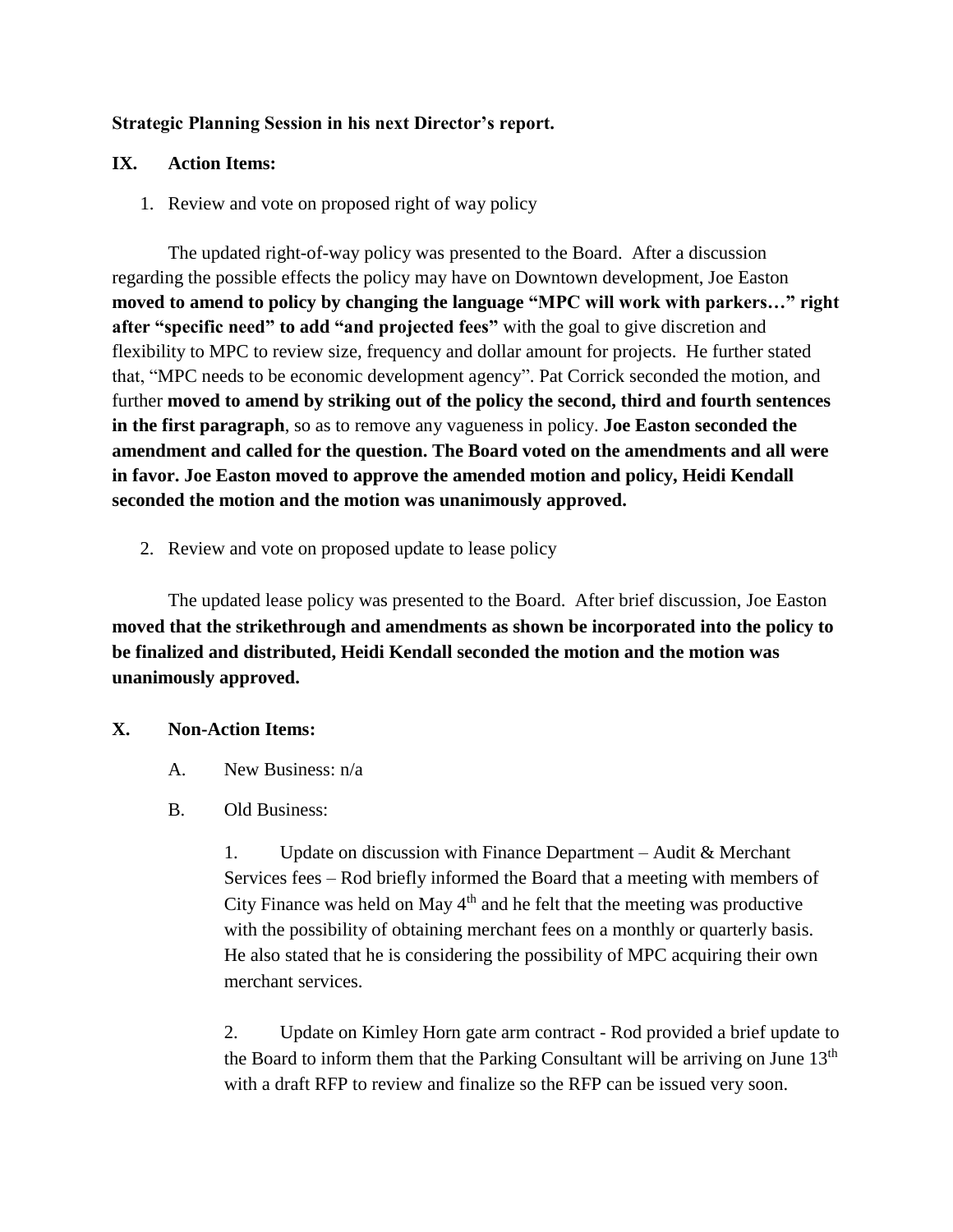## **Strategic Planning Session in his next Director's report.**

## **IX. Action Items:**

1. Review and vote on proposed right of way policy

The updated right-of-way policy was presented to the Board. After a discussion regarding the possible effects the policy may have on Downtown development, Joe Easton **moved to amend to policy by changing the language "MPC will work with parkers…" right after "specific need" to add "and projected fees"** with the goal to give discretion and flexibility to MPC to review size, frequency and dollar amount for projects. He further stated that, "MPC needs to be economic development agency". Pat Corrick seconded the motion, and further **moved to amend by striking out of the policy the second, third and fourth sentences in the first paragraph**, so as to remove any vagueness in policy. **Joe Easton seconded the amendment and called for the question. The Board voted on the amendments and all were in favor. Joe Easton moved to approve the amended motion and policy, Heidi Kendall seconded the motion and the motion was unanimously approved.**

2. Review and vote on proposed update to lease policy

The updated lease policy was presented to the Board. After brief discussion, Joe Easton **moved that the strikethrough and amendments as shown be incorporated into the policy to be finalized and distributed, Heidi Kendall seconded the motion and the motion was unanimously approved.**

### **X. Non-Action Items:**

- A. New Business: n/a
- B. Old Business:

1. Update on discussion with Finance Department – Audit & Merchant Services fees – Rod briefly informed the Board that a meeting with members of City Finance was held on May  $4<sup>th</sup>$  and he felt that the meeting was productive with the possibility of obtaining merchant fees on a monthly or quarterly basis. He also stated that he is considering the possibility of MPC acquiring their own merchant services.

2. Update on Kimley Horn gate arm contract - Rod provided a brief update to the Board to inform them that the Parking Consultant will be arriving on June  $13<sup>th</sup>$ with a draft RFP to review and finalize so the RFP can be issued very soon.